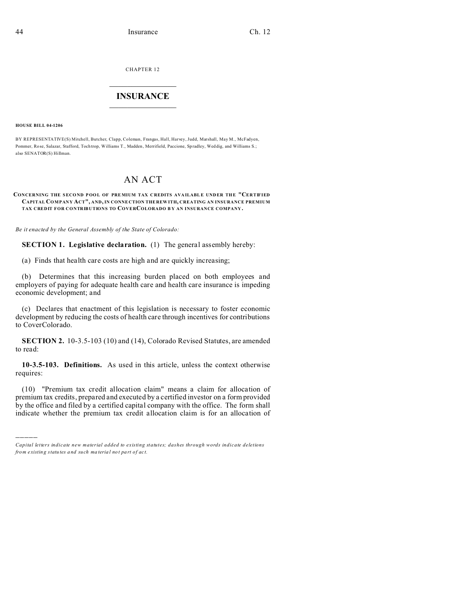CHAPTER 12  $\overline{\phantom{a}}$  , where  $\overline{\phantom{a}}$ 

# **INSURANCE**  $\_$   $\_$   $\_$   $\_$   $\_$   $\_$   $\_$   $\_$

**HOUSE BILL 04-1206**

)))))

BY REPRESENTATIVE(S) Mitchell, Butcher, Clapp, Coleman, Frangas, Hall, Harvey, Judd, Marshall, May M., McFadyen, Pommer, Rose, Salazar, Stafford, Toch trop, Williams T., Madden, Merrifield, Paccione, Spradley, Wed dig, and Williams S.; also SENATOR(S) Hillman.

# AN ACT

#### **CONCERNING THE SECOND POOL OF PRE MIUM TAX C REDITS AVA ILABL E UND ER THE "CERTIFIED CAPITAL COMPANY ACT", AND, IN CONNE CTION THE REW ITH, CREATING AN INSURANCE PREMIUM TAX CREDIT FOR CONTRIBUTIONS TO COVERCOLORADO B Y AN INSURANCE COMPANY .**

*Be it enacted by the General Assembly of the State of Colorado:*

**SECTION 1. Legislative declaration.** (1) The general assembly hereby:

(a) Finds that health care costs are high and are quickly increasing;

(b) Determines that this increasing burden placed on both employees and employers of paying for adequate health care and health care insurance is impeding economic development; and

(c) Declares that enactment of this legislation is necessary to foster economic development by reducing the costs of health care through incentives for contributions to CoverColorado.

**SECTION 2.** 10-3.5-103 (10) and (14), Colorado Revised Statutes, are amended to read:

**10-3.5-103. Definitions.** As used in this article, unless the context otherwise requires:

(10) "Premium tax credit allocation claim" means a claim for allocation of premium tax credits, prepared and executed by a certified investor on a form provided by the office and filed by a certified capital company with the office. The form shall indicate whether the premium tax credit allocation claim is for an allocation of

*Capital letters indicate new material added to existing statutes; dashes through words indicate deletions from e xistin g statu tes a nd such ma teria l no t pa rt of ac t.*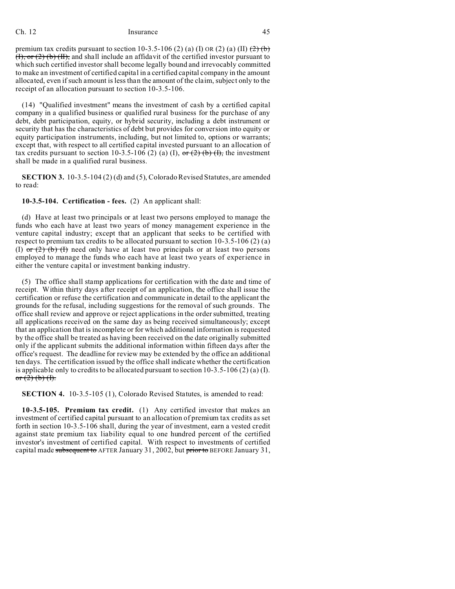premium tax credits pursuant to section 10-3.5-106 (2) (a) (I) OR (2) (a) (II)  $\left(\frac{2}{2}\right)$  (b)  $(H)$ , or  $(2)$  (b)  $(H)$ , and shall include an affidavit of the certified investor pursuant to which such certified investor shall become legally bound and irrevocably committed to make an investment of certified capital in a certified capital company in the amount allocated, even if such amount is less than the amount of the claim, subject only to the receipt of an allocation pursuant to section 10-3.5-106.

(14) "Qualified investment" means the investment of cash by a certified capital company in a qualified business or qualified rural business for the purchase of any debt, debt participation, equity, or hybrid security, including a debt instrument or security that has the characteristics of debt but provides for conversion into equity or equity participation instruments, including, but not limited to, options or warrants; except that, with respect to all certified capital invested pursuant to an allocation of tax credits pursuant to section 10-3.5-106 (2) (a) (I), or (2) (b) (I), the investment shall be made in a qualified rural business.

**SECTION 3.** 10-3.5-104 (2) (d) and (5), Colorado Revised Statutes, are amended to read:

# **10-3.5-104. Certification - fees.** (2) An applicant shall:

(d) Have at least two principals or at least two persons employed to manage the funds who each have at least two years of money management experience in the venture capital industry; except that an applicant that seeks to be certified with respect to premium tax credits to be allocated pursuant to section  $10-3.5-106$  (2) (a) (I)  $or (2)$  (b) (I) need only have at least two principals or at least two persons employed to manage the funds who each have at least two years of experience in either the venture capital or investment banking industry.

(5) The office shall stamp applications for certification with the date and time of receipt. Within thirty days after receipt of an application, the office shall issue the certification or refuse the certification and communicate in detail to the applicant the grounds for the refusal, including suggestions for the removal of such grounds. The office shall review and approve or reject applications in the order submitted, treating all applications received on the same day as being received simultaneously; except that an application that is incomplete or for which additional information is requested by the office shall be treated as having been received on the date originally submitted only if the applicant submits the additional information within fifteen days after the office's request. The deadline for review may be extended by the office an additional ten days. The certification issued by the office shall indicate whether the certification is applicable only to credits to be allocated pursuant to section  $10-3.5-106$  (2) (a) (I). or  $(2)$  (b) (f).

**SECTION 4.** 10-3.5-105 (1), Colorado Revised Statutes, is amended to read:

**10-3.5-105. Premium tax credit.** (1) Any certified investor that makes an investment of certified capital pursuant to an allocation of premium tax credits as set forth in section 10-3.5-106 shall, during the year of investment, earn a vested credit against state premium tax liability equal to one hundred percent of the certified investor's investment of certified capital. With respect to investments of certified capital made subsequent to AFTER January 31, 2002, but prior to BEFORE January 31,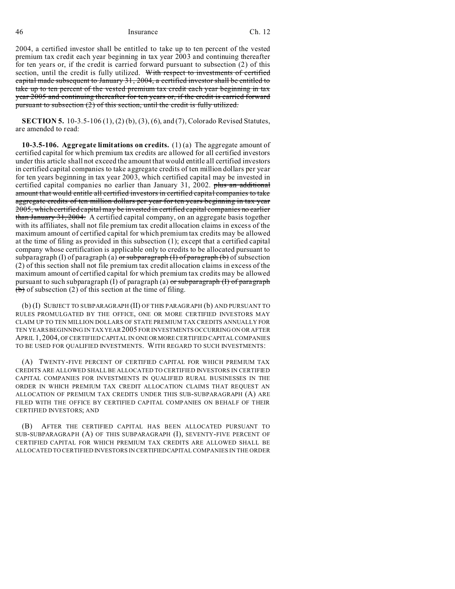46 Insurance Ch. 12

2004, a certified investor shall be entitled to take up to ten percent of the vested premium tax credit each year beginning in tax year 2003 and continuing thereafter for ten years or, if the credit is carried forward pursuant to subsection (2) of this section, until the credit is fully utilized. With respect to investments of certified capital made subsequent to January 31, 2004, a certified investor shall be entitled to take up to ten percent of the vested premium tax credit each year beginning in tax year 2005 and continuing thereafter for ten years or, if the credit is carried forward pursuant to subsection (2) of this section, until the credit is fully utilized.

**SECTION 5.** 10-3.5-106 (1), (2) (b), (3), (6), and (7), Colorado Revised Statutes, are amended to read:

**10-3.5-106. Aggregate limitations on credits.** (1) (a) The aggregate amount of certified capital for which premium tax credits are allowed for all certified investors under this article shall not exceed the amount that would entitle all certified investors in certified capital companies to take aggregate credits of ten million dollars per year for ten years beginning in tax year 2003, which certified capital may be invested in certified capital companies no earlier than January 31, 2002. plus an additional amount that would entitle all certified investors in certified capital companies to take aggregate credits of ten million dollars per year for ten years beginning in tax year 2005, which certified capital may be invested in certified capital companies no earlier than January 31, 2004. A certified capital company, on an aggregate basis together with its affiliates, shall not file premium tax credit allocation claims in excess of the maximum amount of certified capital for which premium tax credits may be allowed at the time of filing as provided in this subsection (1); except that a certified capital company whose certification is applicable only to credits to be allocated pursuant to subparagraph (I) of paragraph (a)  $\sigma$ r subparagraph (I) of paragraph (b) of subsection (2) of this section shall not file premium tax credit allocation claims in excess of the maximum amount of certified capital for which premium tax credits may be allowed pursuant to such subparagraph (I) of paragraph (a) or subparagraph (I) of paragraph  $(b)$  of subsection (2) of this section at the time of filing.

(b) (I) SUBJECT TO SUBPARAGRAPH (II) OF THIS PARAGRAPH (b) AND PURSUANT TO RULES PROMULGATED BY THE OFFICE, ONE OR MORE CERTIFIED INVESTORS MAY CLAIM UP TO TEN MILLION DOLLARS OF STATE PREMIUM TAX CREDITS ANNUALLY FOR TEN YEARS BEGINNING IN TAX YEAR 2005 FOR INVESTMENTS OCCURRING ON OR AFTER APRIL 1, 2004, OF CERTIFIED CAPITAL IN ONE ORMORE CERTIFIED CAPITAL COMPANIES TO BE USED FOR QUALIFIED INVESTMENTS. WITH REGARD TO SUCH INVESTMENTS:

(A) TWENTY-FIVE PERCENT OF CERTIFIED CAPITAL FOR WHICH PREMIUM TAX CREDITS ARE ALLOWED SHALL BE ALLOCATED TO CERTIFIED INVESTORS IN CERTIFIED CAPITAL COMPANIES FOR INVESTMENTS IN QUALIFIED RURAL BUSINESSES IN THE ORDER IN WHICH PREMIUM TAX CREDIT ALLOCATION CLAIMS THAT REQUEST AN ALLOCATION OF PREMIUM TAX CREDITS UNDER THIS SUB-SUBPARAGRAPH (A) ARE FILED WITH THE OFFICE BY CERTIFIED CAPITAL COMPANIES ON BEHALF OF THEIR CERTIFIED INVESTORS; AND

(B) AFTER THE CERTIFIED CAPITAL HAS BEEN ALLOCATED PURSUANT TO SUB-SUBPARAGRAPH (A) OF THIS SUBPARAGRAPH (I), SEVENTY-FIVE PERCENT OF CERTIFIED CAPITAL FOR WHICH PREMIUM TAX CREDITS ARE ALLOWED SHALL BE ALLOCATED TO CERTIFIED INVESTORS IN CERTIFIEDCAPITAL COMPANIES IN THE ORDER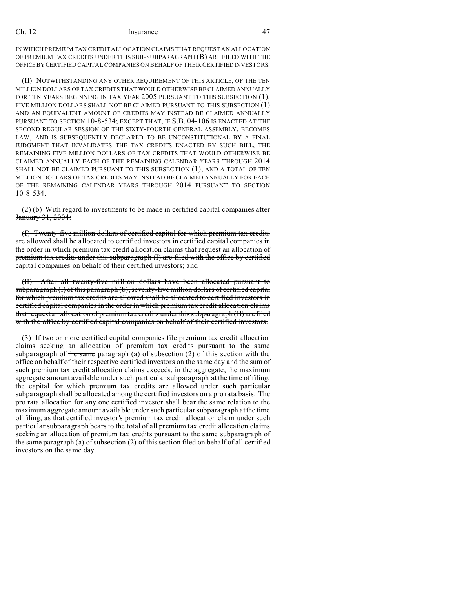IN WHICH PREMIUM TAX CREDIT ALLOCATION CLAIMS THAT REQUEST AN ALLOCATION OF PREMIUM TAX CREDITS UNDER THIS SUB-SUBPARAGRAPH (B) ARE FILED WITH THE OFFICEBY CERTIFIED CAPITAL COMPANIES ON BEHALF OF THEIR CERTIFIED INVESTORS.

(II) NOTWITHSTANDING ANY OTHER REQUIREMENT OF THIS ARTICLE, OF THE TEN MILLION DOLLARS OF TAX CREDITS THAT WOULD OTHERWISE BE CLAIMED ANNUALLY FOR TEN YEARS BEGINNING IN TAX YEAR 2005 PURSUANT TO THIS SUBSECTION (1), FIVE MILLION DOLLARS SHALL NOT BE CLAIMED PURSUANT TO THIS SUBSECTION (1) AND AN EQUIVALENT AMOUNT OF CREDITS MAY INSTEAD BE CLAIMED ANNUALLY PURSUANT TO SECTION 10-8-534; EXCEPT THAT, IF S.B. 04-106 IS ENACTED AT THE SECOND REGULAR SESSION OF THE SIXTY-FOURTH GENERAL ASSEMBLY, BECOMES LAW, AND IS SUBSEQUENTLY DECLARED TO BE UNCONSTITUTIONAL BY A FINAL JUDGMENT THAT INVALIDATES THE TAX CREDITS ENACTED BY SUCH BILL, THE REMAINING FIVE MILLION DOLLARS OF TAX CREDITS THAT WOULD OTHERWISE BE CLAIMED ANNUALLY EACH OF THE REMAINING CALENDAR YEARS THROUGH 2014 SHALL NOT BE CLAIMED PURSUANT TO THIS SUBSECTION (1), AND A TOTAL OF TEN MILLION DOLLARS OF TAX CREDITS MAY INSTEAD BE CLAIMED ANNUALLY FOR EACH OF THE REMAINING CALENDAR YEARS THROUGH 2014 PURSUANT TO SECTION 10-8-534.

 $(2)$  (b) With regard to investments to be made in certified capital companies after January 31, 2004:

(I) Twenty-five million dollars of certified capital for which premium tax credits are allowed shall be allocated to certified investors in certified capital companies in the order in which premium tax credit allocation claims that request an allocation of premium tax credits under this subparagraph (I) are filed with the office by certified capital companies on behalf of their certified investors; and

(II) After all twenty-five million dollars have been allocated pursuant to subparagraph (I) of this paragraph (b), seventy-five million dollars of certified capital for which premium tax credits are allowed shall be allocated to certified investors in certified capital companies in the order in which premium tax credit allocation claims that request an allocation of premium tax credits under this subparagraph (II) are filed with the office by certified capital companies on behalf of their certified investors.

(3) If two or more certified capital companies file premium tax credit allocation claims seeking an allocation of premium tax credits pursuant to the same subparagraph of the same paragraph (a) of subsection  $(2)$  of this section with the office on behalf of their respective certified investors on the same day and the sum of such premium tax credit allocation claims exceeds, in the aggregate, the maximum aggregate amount available under such particular subparagraph at the time of filing, the capital for which premium tax credits are allowed under such particular subparagraph shall be allocated among the certified investors on a pro rata basis. The pro rata allocation for any one certified investor shall bear the same relation to the maximum aggregate amount available under such particular subparagraph at the time of filing, as that certified investor's premium tax credit allocation claim under such particular subparagraph bears to the total of all premium tax credit allocation claims seeking an allocation of premium tax credits pursuant to the same subparagraph of the same paragraph (a) of subsection (2) of this section filed on behalf of all certified investors on the same day.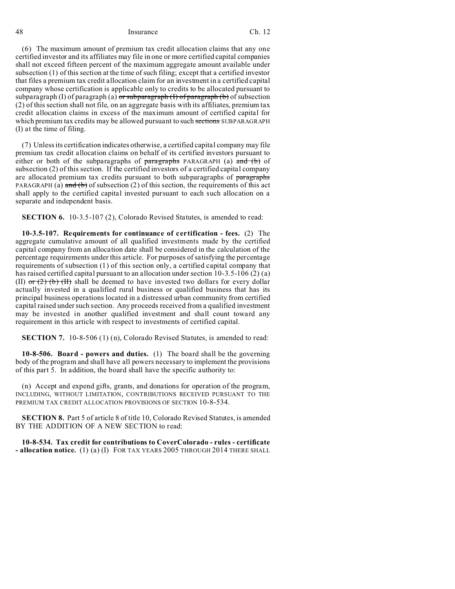#### 48 Insurance Ch. 12

(6) The maximum amount of premium tax credit allocation claims that any one certified investor and its affiliates may file in one or more certified capital companies shall not exceed fifteen percent of the maximum aggregate amount available under subsection (1) of this section at the time of such filing; except that a certified investor that files a premium tax credit allocation claim for an investment in a certified capital company whose certification is applicable only to credits to be allocated pursuant to subparagraph (I) of paragraph (a)  $\sigma r$  subparagraph (I) of paragraph (b) of subsection (2) of this section shall not file, on an aggregate basis with its affiliates, premium tax credit allocation claims in excess of the maximum amount of certified capital for which premium tax credits may be allowed pursuant to such sections SUBPARAGRAPH (I) at the time of filing.

(7) Unless its certification indicates otherwise, a certified capital company may file premium tax credit allocation claims on behalf of its certified investors pursuant to either or both of the subparagraphs of  $\frac{1}{2}$  paragraphs PARAGRAPH (a) and (b) of subsection (2) of this section. If the certified investors of a certified capital company are allocated premium tax credits pursuant to both subparagraphs of paragraphs PARAGRAPH (a)  $\overline{and}$  (b) of subsection (2) of this section, the requirements of this act shall apply to the certified capital invested pursuant to each such allocation on a separate and independent basis.

**SECTION 6.** 10-3.5-107 (2), Colorado Revised Statutes, is amended to read:

**10-3.5-107. Requirements for continuance of certification - fees.** (2) The aggregate cumulative amount of all qualified investments made by the certified capital company from an allocation date shall be considered in the calculation of the percentage requirements under this article. For purposes of satisfying the percentage requirements of subsection (1) of this section only, a certified capital company that has raised certified capital pursuant to an allocation under section 10-3.5-106 (2) (a) (II) or  $(2)$  (b)  $(H)$  shall be deemed to have invested two dollars for every dollar actually invested in a qualified rural business or qualified business that has its principal business operations located in a distressed urban community from certified capital raised under such section. Any proceeds received from a qualified investment may be invested in another qualified investment and shall count toward any requirement in this article with respect to investments of certified capital.

**SECTION 7.** 10-8-506 (1) (n), Colorado Revised Statutes, is amended to read:

**10-8-506. Board - powers and duties.** (1) The board shall be the governing body of the program and shall have all powers necessary to implement the provisions of this part 5. In addition, the board shall have the specific authority to:

(n) Accept and expend gifts, grants, and donations for operation of the program, INCLUDING, WITHOUT LIMITATION, CONTRIBUTIONS RECEIVED PURSUANT TO THE PREMIUM TAX CREDIT ALLOCATION PROVISIONS OF SECTION 10-8-534.

**SECTION 8.** Part 5 of article 8 of title 10, Colorado Revised Statutes, is amended BY THE ADDITION OF A NEW SECTION to read:

**10-8-534. Tax credit for contributions to CoverColorado - rules - certificate - allocation notice.** (1) (a) (I) FOR TAX YEARS 2005 THROUGH 2014 THERE SHALL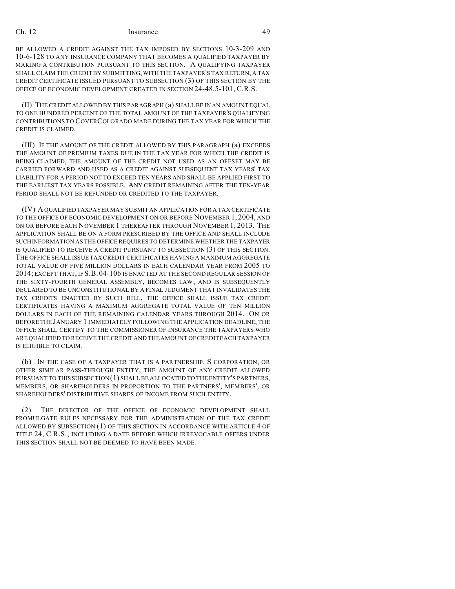BE ALLOWED A CREDIT AGAINST THE TAX IMPOSED BY SECTIONS 10-3-209 AND 10-6-128 TO ANY INSURANCE COMPANY THAT BECOMES A QUALIFIED TAXPAYER BY MAKING A CONTRIBUTION PURSUANT TO THIS SECTION. A QUALIFYING TAXPAYER SHALL CLAIM THE CREDIT BY SUBMITTING, WITH THE TAXPAYER'S TAX RETURN, A TAX CREDIT CERTIFICATE ISSUED PURSUANT TO SUBSECTION (3) OF THIS SECTION BY THE OFFICE OF ECONOMIC DEVELOPMENT CREATED IN SECTION 24-48.5-101, C.R.S.

(II) THE CREDIT ALLOWED BY THIS PARAGRAPH (a) SHALL BE IN AN AMOUNT EQUAL TO ONE HUNDRED PERCENT OF THE TOTAL AMOUNT OF THE TAXPAYER'S QUALIFYING CONTRIBUTIONS TO COVERCOLORADO MADE DURING THE TAX YEAR FOR WHICH THE CREDIT IS CLAIMED.

(III) IF THE AMOUNT OF THE CREDIT ALLOWED BY THIS PARAGRAPH (a) EXCEEDS THE AMOUNT OF PREMIUM TAXES DUE IN THE TAX YEAR FOR WHICH THE CREDIT IS BEING CLAIMED, THE AMOUNT OF THE CREDIT NOT USED AS AN OFFSET MAY BE CARRIED FORWARD AND USED AS A CREDIT AGAINST SUBSEQUENT TAX YEARS' TAX LIABILITY FOR A PERIOD NOT TO EXCEED TEN YEARS AND SHALL BE APPLIED FIRST TO THE EARLIEST TAX YEARS POSSIBLE. ANY CREDIT REMAINING AFTER THE TEN-YEAR PERIOD SHALL NOT BE REFUNDED OR CREDITED TO THE TAXPAYER.

(IV) A QUALIFIED TAXPAYER MAY SUBMIT AN APPLICATION FOR A TAX CERTIFICATE TO THE OFFICE OF ECONOMIC DEVELOPMENT ON OR BEFORE NOVEMBER 1, 2004, AND ON OR BEFORE EACH NOVEMBER 1 THEREAFTER THROUGH NOVEMBER 1, 2013. THE APPLICATION SHALL BE ON A FORM PRESCRIBED BY THE OFFICE AND SHALL INCLUDE SUCHINFORMATION AS THE OFFICE REQUIRES TO DETERMINE WHETHER THE TAXPAYER IS QUALIFIED TO RECEIVE A CREDIT PURSUANT TO SUBSECTION (3) OF THIS SECTION. THE OFFICE SHALL ISSUE TAX CREDIT CERTIFICATES HAVING A MAXIMUM AGGREGATE TOTAL VALUE OF FIVE MILLION DOLLARS IN EACH CALENDAR YEAR FROM 2005 TO 2014; EXCEPT THAT, IF S.B.04-106 IS ENACTED AT THE SECOND REGULAR SESSION OF THE SIXTY-FOURTH GENERAL ASSEMBLY, BECOMES LAW, AND IS SUBSEQUENTLY DECLARED TO BE UNCONSTITUTIONAL BY A FINAL JUDGMENT THAT INVALIDATES THE TAX CREDITS ENACTED BY SUCH BILL, THE OFFICE SHALL ISSUE TAX CREDIT CERTIFICATES HAVING A MAXIMUM AGGREGATE TOTAL VALUE OF TEN MILLION DOLLARS IN EACH OF THE REMAINING CALENDAR YEARS THROUGH 2014. ON OR BEFORE THE JANUARY 1 IMMEDIATELY FOLLOWING THE APPLICATION DEADLINE, THE OFFICE SHALL CERTIFY TO THE COMMISSIONER OF INSURANCE THE TAXPAYERS WHO ARE QUALIFIED TO RECEIVE THE CREDIT AND THE AMOUNT OF CREDIT EACH TAXPAYER IS ELIGIBLE TO CLAIM.

(b) IN THE CASE OF A TAXPAYER THAT IS A PARTNERSHIP, S CORPORATION, OR OTHER SIMILAR PASS-THROUGH ENTITY, THE AMOUNT OF ANY CREDIT ALLOWED PURSUANT TO THIS SUBSECTION (1) SHALL BE ALLOCATED TO THE ENTITY'S PARTNERS, MEMBERS, OR SHAREHOLDERS IN PROPORTION TO THE PARTNERS', MEMBERS', OR SHAREHOLDERS' DISTRIBUTIVE SHARES OF INCOME FROM SUCH ENTITY.

(2) THE DIRECTOR OF THE OFFICE OF ECONOMIC DEVELOPMENT SHALL PROMULGATE RULES NECESSARY FOR THE ADMINISTRATION OF THE TAX CREDIT ALLOWED BY SUBSECTION (1) OF THIS SECTION IN ACCORDANCE WITH ARTICLE 4 OF TITLE 24, C.R.S., INCLUDING A DATE BEFORE WHICH IRREVOCABLE OFFERS UNDER THIS SECTION SHALL NOT BE DEEMED TO HAVE BEEN MADE.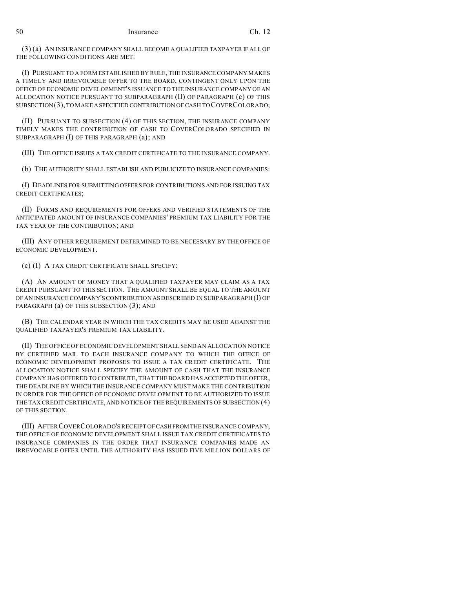(3) (a) AN INSURANCE COMPANY SHALL BECOME A QUALIFIED TAXPAYER IF ALL OF THE FOLLOWING CONDITIONS ARE MET:

(I) PURSUANT TO A FORM ESTABLISHED BY RULE, THE INSURANCE COMPANY MAKES A TIMELY AND IRREVOCABLE OFFER TO THE BOARD, CONTINGENT ONLY UPON THE OFFICE OF ECONOMIC DEVELOPMENT'S ISSUANCE TO THE INSURANCE COMPANY OF AN ALLOCATION NOTICE PURSUANT TO SUBPARAGRAPH (II) OF PARAGRAPH (c) OF THIS SUBSECTION(3), TO MAKEASPECIFIED CONTRIBUTION OF CASH TO COVERCOLORADO;

(II) PURSUANT TO SUBSECTION (4) OF THIS SECTION, THE INSURANCE COMPANY TIMELY MAKES THE CONTRIBUTION OF CASH TO COVERCOLORADO SPECIFIED IN SUBPARAGRAPH (I) OF THIS PARAGRAPH (a); AND

(III) THE OFFICE ISSUES A TAX CREDIT CERTIFICATE TO THE INSURANCE COMPANY.

(b) THE AUTHORITY SHALL ESTABLISH AND PUBLICIZE TO INSURANCE COMPANIES:

(I) DEADLINES FOR SUBMITTING OFFERS FOR CONTRIBUTIONS AND FOR ISSUING TAX CREDIT CERTIFICATES;

(II) FORMS AND REQUIREMENTS FOR OFFERS AND VERIFIED STATEMENTS OF THE ANTICIPATED AMOUNT OF INSURANCE COMPANIES' PREMIUM TAX LIABILITY FOR THE TAX YEAR OF THE CONTRIBUTION; AND

(III) ANY OTHER REQUIREMENT DETERMINED TO BE NECESSARY BY THE OFFICE OF ECONOMIC DEVELOPMENT.

(c) (I) A TAX CREDIT CERTIFICATE SHALL SPECIFY:

(A) AN AMOUNT OF MONEY THAT A QUALIFIED TAXPAYER MAY CLAIM AS A TAX CREDIT PURSUANT TO THIS SECTION. THE AMOUNT SHALL BE EQUAL TO THE AMOUNT OF AN INSURANCE COMPANY'S CONTRIBUTION AS DESCRIBED IN SUBPARAGRAPH (I) OF PARAGRAPH (a) OF THIS SUBSECTION (3); AND

(B) THE CALENDAR YEAR IN WHICH THE TAX CREDITS MAY BE USED AGAINST THE QUALIFIED TAXPAYER'S PREMIUM TAX LIABILITY.

(II) THE OFFICE OF ECONOMIC DEVELOPMENT SHALL SEND AN ALLOCATION NOTICE BY CERTIFIED MAIL TO EACH INSURANCE COMPANY TO WHICH THE OFFICE OF ECONOMIC DEVELOPMENT PROPOSES TO ISSUE A TAX CREDIT CERTIFICATE. THE ALLOCATION NOTICE SHALL SPECIFY THE AMOUNT OF CASH THAT THE INSURANCE COMPANY HAS OFFERED TO CONTRIBUTE, THAT THE BOARD HAS ACCEPTED THE OFFER, THE DEADLINE BY WHICH THE INSURANCE COMPANY MUST MAKE THE CONTRIBUTION IN ORDER FOR THE OFFICE OF ECONOMIC DEVELOPMENT TO BE AUTHORIZED TO ISSUE THE TAX CREDIT CERTIFICATE, AND NOTICE OF THE REQUIREMENTS OF SUBSECTION (4) OF THIS SECTION.

(III) AFTER COVERCOLORADO'S RECEIPT OF CASHFROMTHEINSURANCE COMPANY, THE OFFICE OF ECONOMIC DEVELOPMENT SHALL ISSUE TAX CREDIT CERTIFICATES TO INSURANCE COMPANIES IN THE ORDER THAT INSURANCE COMPANIES MADE AN IRREVOCABLE OFFER UNTIL THE AUTHORITY HAS ISSUED FIVE MILLION DOLLARS OF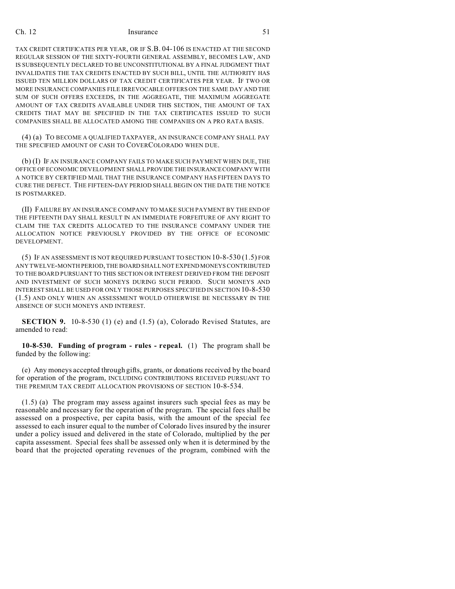TAX CREDIT CERTIFICATES PER YEAR, OR IF S.B. 04-106 IS ENACTED AT THE SECOND REGULAR SESSION OF THE SIXTY-FOURTH GENERAL ASSEMBLY, BECOMES LAW, AND IS SUBSEQUENTLY DECLARED TO BE UNCONSTITUTIONAL BY A FINAL JUDGMENT THAT INVALIDATES THE TAX CREDITS ENACTED BY SUCH BILL, UNTIL THE AUTHORITY HAS ISSUED TEN MILLION DOLLARS OF TAX CREDIT CERTIFICATES PER YEAR. IF TWO OR MORE INSURANCE COMPANIES FILE IRREVOCABLE OFFERS ON THE SAME DAY AND THE SUM OF SUCH OFFERS EXCEEDS, IN THE AGGREGATE, THE MAXIMUM AGGREGATE AMOUNT OF TAX CREDITS AVAILABLE UNDER THIS SECTION, THE AMOUNT OF TAX CREDITS THAT MAY BE SPECIFIED IN THE TAX CERTIFICATES ISSUED TO SUCH COMPANIES SHALL BE ALLOCATED AMONG THE COMPANIES ON A PRO RATA BASIS.

(4) (a) TO BECOME A QUALIFIED TAXPAYER, AN INSURANCE COMPANY SHALL PAY THE SPECIFIED AMOUNT OF CASH TO COVERCOLORADO WHEN DUE.

(b) (I) IF AN INSURANCE COMPANY FAILS TO MAKE SUCH PAYMENT WHEN DUE, THE OFFICE OF ECONOMIC DEVELOPMENT SHALL PROVIDE THE INSURANCE COMPANY WITH A NOTICE BY CERTIFIED MAIL THAT THE INSURANCE COMPANY HAS FIFTEEN DAYS TO CURE THE DEFECT. THE FIFTEEN-DAY PERIOD SHALL BEGIN ON THE DATE THE NOTICE IS POSTMARKED.

(II) FAILURE BY AN INSURANCE COMPANY TO MAKE SUCH PAYMENT BY THE END OF THE FIFTEENTH DAY SHALL RESULT IN AN IMMEDIATE FORFEITURE OF ANY RIGHT TO CLAIM THE TAX CREDITS ALLOCATED TO THE INSURANCE COMPANY UNDER THE ALLOCATION NOTICE PREVIOUSLY PROVIDED BY THE OFFICE OF ECONOMIC DEVELOPMENT.

(5) IF AN ASSESSMENT IS NOT REQUIRED PURSUANT TO SECTION 10-8-530 (1.5) FOR ANY TWELVE-MONTH PERIOD, THE BOARD SHALL NOT EXPENDMONEYS CONTRIBUTED TO THE BOARD PURSUANT TO THIS SECTION OR INTEREST DERIVED FROM THE DEPOSIT AND INVESTMENT OF SUCH MONEYS DURING SUCH PERIOD. SUCH MONEYS AND INTEREST SHALL BE USED FOR ONLY THOSE PURPOSES SPECIFIED IN SECTION 10-8-530 (1.5) AND ONLY WHEN AN ASSESSMENT WOULD OTHERWISE BE NECESSARY IN THE ABSENCE OF SUCH MONEYS AND INTEREST.

**SECTION 9.** 10-8-530 (1) (e) and (1.5) (a), Colorado Revised Statutes, are amended to read:

**10-8-530. Funding of program - rules - repeal.** (1) The program shall be funded by the following:

(e) Any moneys accepted through gifts, grants, or donations received by the board for operation of the program, INCLUDING CONTRIBUTIONS RECEIVED PURSUANT TO THE PREMIUM TAX CREDIT ALLOCATION PROVISIONS OF SECTION 10-8-534.

(1.5) (a) The program may assess against insurers such special fees as may be reasonable and necessary for the operation of the program. The special fees shall be assessed on a prospective, per capita basis, with the amount of the special fee assessed to each insurer equal to the number of Colorado lives insured by the insurer under a policy issued and delivered in the state of Colorado, multiplied by the per capita assessment. Special fees shall be assessed only when it is determined by the board that the projected operating revenues of the program, combined with the